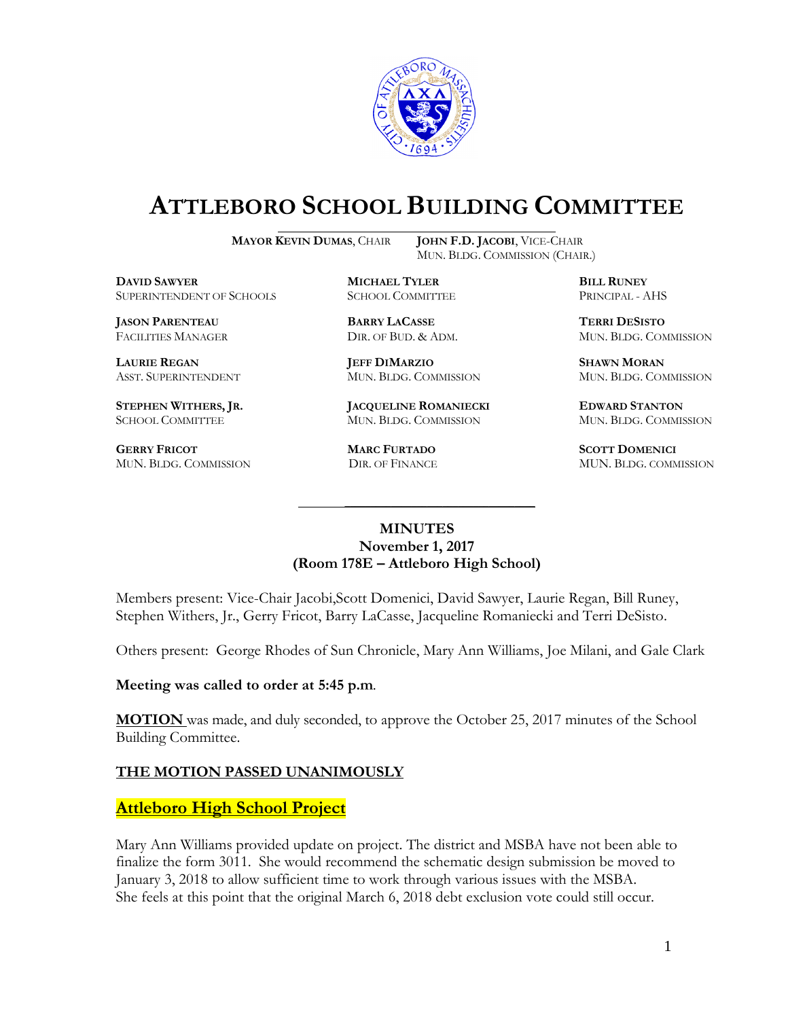

# **ATTLEBORO SCHOOL BUILDING COMMITTEE**

**MAYOR KEVIN DUMAS**, CHAIR **JOHN F.D. JACOBI**, VICE-CHAIR

MUN. BLDG. COMMISSION (CHAIR.)

**DAVID SAWYER MICHAEL TYLER BILL RUNEY** SUPERINTENDENT OF SCHOOLS SCHOOL COMMITTEE PRINCIPAL - AHS

**JASON PARENTEAU BARRY LACASSE TERRI DESISTO**

**GERRY FRICOT MARC FURTADO SCOTT DOMENICI** 

**LAURIE REGAN JEFF DIMARZIO SHAWN MORAN**

**STEPHEN WITHERS, JR. JACQUELINE ROMANIECKI EDWARD STANTON** SCHOOL COMMITTEE MUN. BLDG. COMMISSION MUN. BLDG. COMMISSION

FACILITIES MANAGER DIR. OF BUD. & ADM. MUN. BLDG. COMMISSION

ASST. SUPERINTENDENT MUN. BLDG. COMMISSION MUN. BLDG. COMMISSION

MUN. BLDG. COMMISSION DIR. OF FINANCE MUN. BLDG. COMMISSION

#### **MINUTES November 1, 2017 (Room 178E – Attleboro High School)**

\_\_\_\_\_\_\_\_\_\_\_\_\_\_\_\_\_\_\_\_\_\_\_\_\_\_\_\_\_\_\_\_\_\_\_\_\_

Members present: Vice-Chair Jacobi,Scott Domenici, David Sawyer, Laurie Regan, Bill Runey, Stephen Withers, Jr., Gerry Fricot, Barry LaCasse, Jacqueline Romaniecki and Terri DeSisto.

Others present: George Rhodes of Sun Chronicle, Mary Ann Williams, Joe Milani, and Gale Clark

**Meeting was called to order at 5:45 p.m**.

**MOTION** was made, and duly seconded, to approve the October 25, 2017 minutes of the School Building Committee.

### **THE MOTION PASSED UNANIMOUSLY**

### **Attleboro High School Project**

Mary Ann Williams provided update on project. The district and MSBA have not been able to finalize the form 3011. She would recommend the schematic design submission be moved to January 3, 2018 to allow sufficient time to work through various issues with the MSBA. She feels at this point that the original March 6, 2018 debt exclusion vote could still occur.